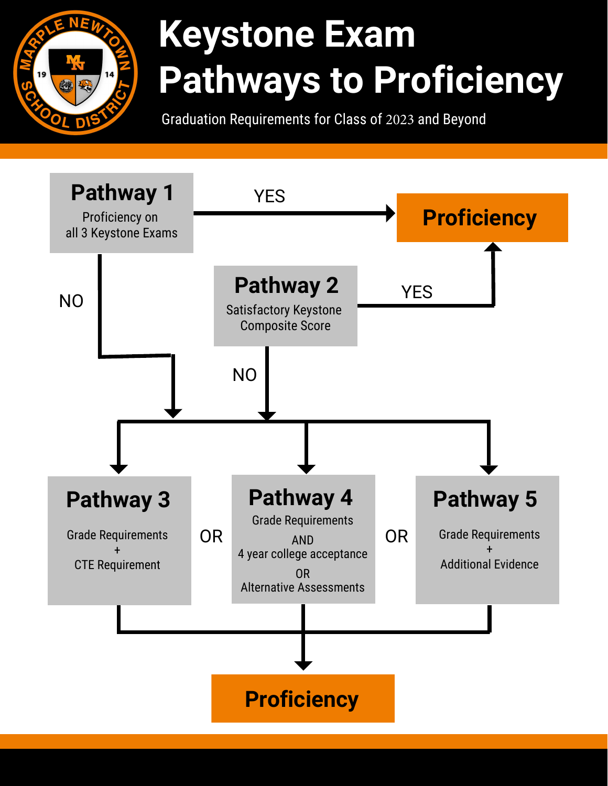

# **Keystone Exam Pathways to Proficiency**

Graduation Requirements for Class of 2023 and Beyond